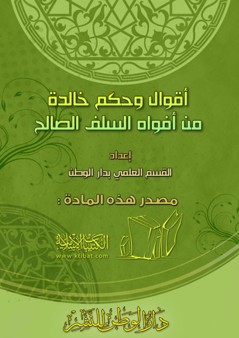# أقوال وحكم خالدة مث أقواه الساف الطالح

**shell** القسم العلمي بدار الوطث

# مصدر هذه المادة :

 $\sqrt{2}$ 



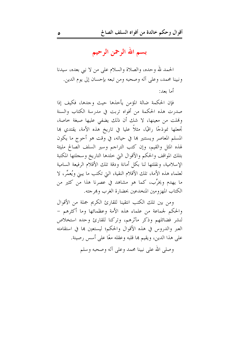بسم الله الرحمن الرحيم

الحمد لله وحده، والصلاة والسلام على من لا نبي بعده، سيدنا ونبينا محمد، وعلى آله وصحبه ومن تبعه بإحسان إلى يوم الدين. أما ىعد:

فإن الحكمة ضالة المؤمن يأحذها حيث وجدها، فكيف إذا صدرت هذه الحكمة من أفواه تربت في مدرسة الكتاب والسنة وهُلت من معينها، لا شك أن ذلك يضفي عليها صبغة حاصة، تِحعلها نموذجًا راقيًا، مثلاً عليا في تاريخ هذه الأمة، يقتدي ها المسلم المعاصر ويستنير بما في حياته، في وقت هو أحوج ما يكون لهذه المثل والقيم، وإن كتب التراجم وسير السلف الصالح مليئة بتلك المواقف والحكم والأقوال التي خلدها التاريخ وسجلتها المكتبة الإسلامية، ونقلتها لنا بكل أمانة ودقة تلك الأقلام الرفيعة السامية لعلماء هذه الأمة، تلك الأقلام النقية، التي تكتب ما يبني ويُعمِّر، لا ما يهدم ويخرِّب، كما هو مشاهد في عصرنا هذا من كثير من الكتاب المهزومين المنخدعين بحضارة الغرب وهرجته.

ومن بين تلك الكتب انتقينا للقارئ الكريم جملة من الأقوال والحكم لجماعة من علماء هذه الأمة وعظمائها وما أكثرهم – لنشر فضائلهم وذكر مآثرهم، وتركنا للقارئ وحده استخلاص العبر والدروس في هذه الأقوال والحكم؛ ليستعين بما في استقامته على هذا الدين، ويقيم ها قلبه وعقله معًا على أسس رصينة.

وصلى الله على نبينا محمد وعلى آله وصحبه وسلم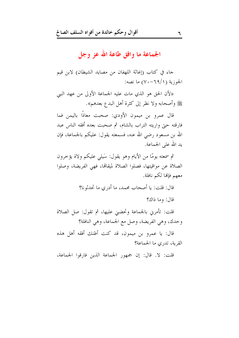الجماعة ما وافق طاعة الله عز وجل

جاء في كتاب (إغاثة اللهفان من مصايد الشيطان) لابن قيم الجوزية (٦٩/١–٧٠) ما نصه:

«لأن الحق هو الذي مات عليه الجماعة الأولى من عهد النبي ﷺ وأصحابه ولا نظر إلى كثرة أهل البدع بعدهم».

قال عمرو بن ميمون الأودي: صحبت معاذًا باليمن فما فارقته حتى واريته التراب بالشام، ثم صحبت بعده أفقه الناس عبد الله بن مسعود رضي الله عنه، فسمعته يقول: عليكم بالجماعة، فإن يد الله على الجماعة.

ثم سمعته يومًا من الأيام وهو يقول: سَيلي عليكم ولاة يؤخرون الصلاة عن مواقيتها، فصلوا الصلاة لميقالها، فهي الفريضة، وصلوا معهم فإنها لكم نافلة.

قال: قلت: يا أصحاب محمد، ما أدرى ما تحدثونا؟

قال: وما ذاك؟

قلت: تأمرني بالجماعة وتحضيي عليها، ثم تقول: صل الصلاة وحدك، وهي الفريضة، وصل مع الجماعة، وهي النافلة؟

قال: يا عمرو بن ميمون، قد كنت أظنك أفقه أهل هذه القرية، تدرى ما الجماعة؟

قلت: لا. قال: إن جمهور الجماعة الذين فارقوا الجماعة،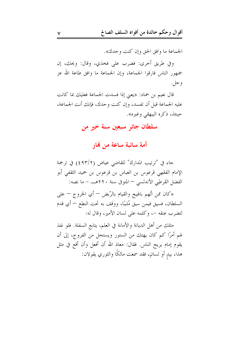الجماعة ما وافق الحق وإن كنت وحدك».

وفي طريق أحرى: فضرب على فخذي، وقال: ويحك، إن جمهور الناس فارقوا الجماعة، وإن الجماعة ما وافق طاعة الله عز و جل.

قال نعيم بن حماد: «يعني إذا فسدت الجماعة فعليك بما كانت عليه الجماعة قبل أن تفسد، وإن كنت وحدك، فإنك أنت الجماعة، حينئذ، ذكره البيهقي وغيره».

#### سلطان جائر سبعين سنة خير من

أمة سائبة ساعة من هٔار

جاء في "ترتيب المدارك" للقاضي عياض (٤٩٣/٢) في ترجمة الإمام الفقهي قرعوس بن العباس بن قرعوس بن حميد الثقفي أبو الفضل القرطبي الأندلسي – المتوفى سنة ٢٢٠هـــ - ما نصه:

«كان ممن اتُهم بالهيج والقيام بالرَّبض — أي الخروج — على السلطان، فسيق فيمن سيق مُلببًا، ووقف به تحت النطع — أي قدم لتضرب عنقه –، وكلمه على لسان الأمير، وقال له:

مثلك من أهل الديانة والأمانة في العلم، يتابع السفلة. فلو نفذ لهم أمرًا كم كان يهتك من الستور ويستحل من الفروج، إلى أن يقوم إمام يريح الناس. فقال: معاذ الله أن أفعل وأن أقع في مثل هذا، بيدٍ أو لسانٍ، فقد سمعت مالكًا والثوري يقولان: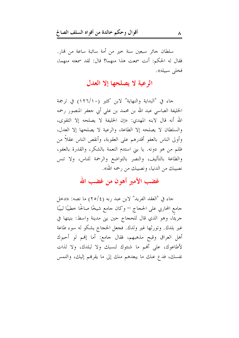سلطان جائر سبعين سنة خير من أمة سائبة ساعة من نمار. فقال له الحكم: أنت سمعت هذا منهما؟ قال: لقد سمعته منهما، فخلي سبيله».

#### الرعية لا يصلحها إلا العدل

حاء في "البداية والنهاية" لابن كثير (١٢٦/١٠) في ترجمة الخليفة العباسي عبد الله بن محمد بن على أبي جعفر المنصور رحمه الله أنه قال لابنه المهدى: «إن الخليفة لا يصلحه إلا التقوى، والسلطان لا يصلحه إلا الطاعة، والرعية لا يصلحها إلا العدل، وأولى الناس بالعفو أقدرهم على العقوبة، وأنقص الناس عقلاً من ظلم من هو دونه. يا بني استدم النعمة بالشكر، والقدرة بالعفو، والطاعة بالتأليف، والنصر بالتواضع والرحمة للناس، ولا تنس نصيبك من الدنيا، ونصيبك من رحمه الله».

#### غضب الأمير أهون من غضب الله

جاء في "العقد الفريد" لابن عبد ربه (٢٥/٤) ما نصه: «دخل جامع المحاربي على الحجاج — وكان جامع شيخًا صالحًا خطيبًا لبيبًا حريئًا، وهو الذي قال للحجاج حين بني مدينة واسط: بنيتها في غير بلدك. وتورثها غير ولدك. فجعل الحجاج يشكو له سوء طاعة أهل العراق وقبح مذهبهم، فقال حامع: أما إلهم لو أحبوك لأطاعوك، على أفمم ما شنئوك لنسبك ولا لبلدك، ولا لذات نفسك، فدع عنك ما يبعدهم منك إلى ما يقرهم إليك، والتمس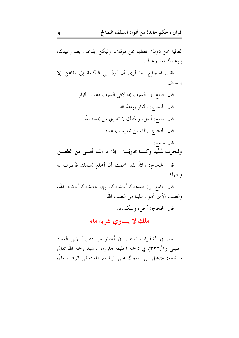العافية ممن دونك تعطها ممن فوقك، وليكن إيقاعك بعد وعيدك، ووعيدك بعد وعدك.

فقال الحجاج: ما أرى أن أردَّ بني اللكيعة إلى طاعتي إلا بالسبف.

قال الحجاج: والله لقد هممت أن أخلع لسانك فأضرب به و جهك.

قال جامع: إن صدقناك أغضبناك، وإن غششناك أغضبنا الله، وغضب الأمير أهون علينا من غضب الله. قال الحجاج: أجل، وسكت».

ملك لا يساوي شربة ماء

جاء في "شذرات الذهب في أحبار من ذهب" لابن العماد الحنبلي (٣٣٦/١) في ترجمة الحليفة هارون الرشيد رحمه الله تعالى ما نصه: «دحل ابن السماك على الرشيد، فاستسقى الرشيد ماءً،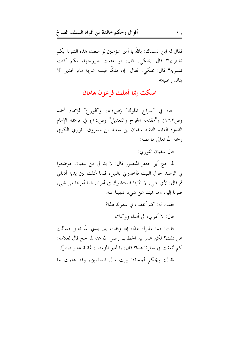فقال له ابن السماك: بالله يا أمير المؤمنين لو منعت هذه الشربة بكم تشتريها؟ قال: بملكي. قال: لو منعت حروجها، بكم كنت تشتريه؟ قال: بملكي. فقال: إن ملكًا قيمته شربة ماء لجدير ألا ينافس عليه».

#### اسكت إنما أهلك فرعون هامان

حاء في "سراج الملوك" (ص٥١) و"الورع" للإمام أحمد (ص١٦٢) و"مقدمة الجرح والتعديل" (ص١٤) في ترجمة الإمام القدوة العابد الفقيه سفيان بن سعيد بن مسروق الثوري الكوفي , حمه الله تعالى ما نصه:

قال سفيان الثو, ي:

لما حج أبو جعفر المنصور قال: لا بد لي من سفيان. فوضعوا لى الرصد حول البيت فأخذوني بالليل، فلما مُثلت بين يديه أدناني ثم قال: لأي شيء لا تأتينا فنستشيرك في أمرنا، فما أمرتنا من شيء صرنا إليه، وما لهيتنا عن شيء انتهينا عنه.

> فقلت له: كم أنفقت في سفرك هذا؟ قال: لا أدري، لي أمناء ووكلاء.

قلت: فما عذرك غدًا، إذا وقفت بين يدي الله تعالى فسألك عن ذلك؟ لكن عمر بن الخطاب رضي الله عنه لما حج قال لغلامه: كم أنفقت في سفرنا هذا؟ قال: يا أمير المؤمنين، ثمانية عشر دينارًا. فقال: ويحكم أجحفنا ببيت مال المسلمين، وقد علمت ما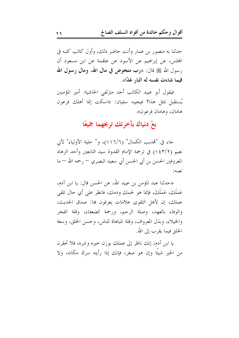حدثنا به منصور بن عمار وأنت حاضر ذلك، وأول كاتب كتبه في المجلس، عن إبراهيم عن الأسود عن علقمة عن ابن مسعود أن رسول الله ﷺ قال: «رب متخوض في مال الله، ومال رسول الله فيما شاءت نفسه له النار غدًا».

فيقول أبو عبيد الكاتب أحد متزلفي الحاشية: أمير المؤمنين يُستقبل بمثل هذا؟ فيجيبه سفيان: «اسكت إنما أهلك فرعون هامان، وهامان فرعون».

#### بعْ دنياك بآخرتك تربحهما جميعًا

جاء في "تمذيب الكمال" (١١٦/٦)، و" حلية الأولياء" لأبي نعيم (١٤٣/٢) في ترجمة الإمام القدوة سيد التابعين وأحد الزهاد المعروفين الحسن بن أبي الحسن أبي سعيد البصري — رحمه الله — ما نصه:

«حدثنا عبد المؤمن بن عبيد الله، عن الحسن قال: يا ابن آدم، عَمَلَكَ، عَمَلَكَ، فإنما هو لحمك ودمك، فانظر على أي حال تلقى عملك، إن لأهل التقوى علامات يعرفون بها: صدق الحديث، والوفاء بالعهد، وصلة الرحم، ورحمة الضعفاء، وقلة الفخر والخيلاء، وبذل المعروف، وقلة المباهاة للناس، وحسن الخلق، وسعة الخلق فبما يقرب إلى الله.

يا ابن آدم، إنك ناظر إلى عملك يوزن حيره وشره، فلا تحقرن من الخير شيئًا وإن هو صغر، فإنك إذا رأيته سرك مكانه، ولا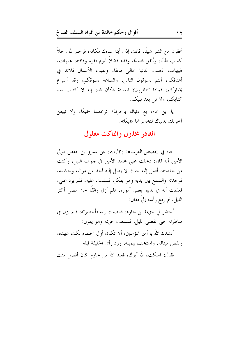تحقرن من الشر شيئًا، فإنك إذا رأيته ساءك مكانه، فرحم الله رجلاً كسب طيبًا، وأنفق قصدًا، وقدم فضلاً ليوم فقره وفاقته، هيهات، هَيهات، ذهبت الدنيا بحالتي مآلها، وبقيت الأعمال قلائد في أعناقكم، أنتم تسوقون الناس، والساعة تسوقكم، وقد أسرع بخياركم، فماذا تنتظرون؟ المعاينة فكأن قد، إنه لا كتاب بعد كتابكم، ولا نبي بعد نبيكم.

یا این آدم، بع دنیاك بآخرتك تربحهما جمیعًا، ولا تبیعن آخر تك بدنباك فتخسر هما جميعًا».

#### الغادر مخذول والناكث مغلول

جاءِ في «قصص العرب»: (٨٠/٣) عن عمرو بن حفص مولي الأمين أنه قال: دخلت على محمد الأمين في جوف الليل، وكنت من خاصته، أصل إليه حيث لا يصل إليه أحد من مواليه وحشمه، فوجدته والشمع بين يديه وهو يفكر، فسلمت عليه، فلم يرد علي، فعلمت أنه في تدبير بعض أموره، فلم أزل واقفًا حتى مضى أكثر الليل، ثم رفع رأسه إلىَّ فقال:

أحضر لي خزيمة بن خازم، فمضيت إليه فأحضرته، فلم يزل في مناظرته حتى انقضى الليل، فسمعت خزيمة وهو يقول:

أنشدك الله يا أمير المؤمنين، ألا تكون أول الخلفاء نكث عهده، ونقض ميثاقه، واستخف بيمينه، ورد رأي الخليفة قبله.

فقال: اسكت، لله أبوك، فعبد الله بن حازم كان أفضل منك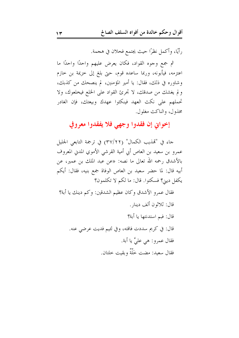رأيًا، وأكمل نظرًا حيث يجتمع فحلان في هجمة.

ثم جمع وجوه القواد، فكان يعرض عليهم واحدًا واحدًا ما اعتزمه، فيأبونه، وربما ساعده قوم، حتى بلغ إلى خزيمة بن خازم وشاوره في ذلك، فقال: يا أمير المؤمنين، لم ينصحك من كذبك، ولم يغشك من صدقك، لا تحرئ القواد على الخلع فيخلعوك، ولا تحملهم على نكث العهد فينكثوا عهدك وبيعتك، فإن الغادر مخذول، والناكث مغلول.

إخواني إن فقدوا وجهي فلا يفقدوا معروفي

جاء في "تمذيب الكمال" (٢٢/٢٢) في ترجمة التابعي الجليل عمرو بن سعيد بن العاص أبي أمية القرشي الأموي المدني المعروف بالأشدق رحمه الله تعالى ما نصه: «عن عبد الملك بن عمير، عن أبيه قال: لما حضر سعيد بن العاص الوفاة جمع بنيه، فقال: أيكم يكفل ديني؟ فسكتوا. قال: ما لكم لا تكلمون؟

فقال عمرو الأشدق وكان عظيم الشدقين: وكم دينك يا أبة؟ قال: ثلاثون ألف دينار . قال: فبم استدنتها يا أبة؟ قال: في كريم سددت فاقته، وفي لئيم فديت عرضي عنه. فقال عمرو: هي عليَّ يا أبة. فقال سعيد: مضت خَلَّةٌ وبقيت حلتان.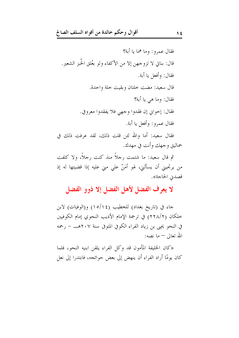ثم قال سعيد: ما شتمت رحلاً منذ كنت رحلاً، ولا كلفت من يرتجيني أن يسألني، لهو أمَنَّ على مني عليه إذا قضيتها له إذ قصدن الحاجة».

#### لا يعرف الفضل لأهل الفضل إلا ذوو الفضل

حاء في (تاريخ بغداد) للخطيب (١٥/١٤) و(الوفيات) لابن خلكان (٢٢٨/٢) في ترجمة الإمام الأديب النحوي إمام الكوفيين في النحو يجيى بن زياد الفراء الكوفي المتوفى سنة ٢٠٧هـــ – رحمه الله تعالى — ما نصه:

«كان الخليفة المأمون قد وكل الفراء يلقن ابنيه النحو، فلما كان يومًا أراد الفراء أن ينهض إلى بعض حوائجه، فابتدرا إلى نعل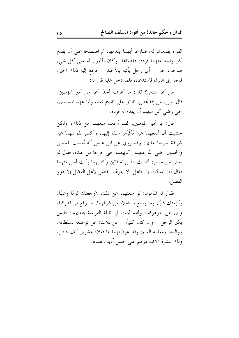الفراء يقدمالها له، فتنازعا أيهما يقدمها، ثم اصطلحا على أن يقدم كل واحد منهما فردة، فقدماها. وكان المأمون له على كل شيء صاحب حبر — أي رحل يأتيه بالأحبار — فرفع إليه ذلك الخبر، فوجه إلى الفراء فاستدعاه، فلما دخل عليه قال له:

من أعز الناس؟ قال: ما أعرف أحدًا أعز من أمير المؤمنين. قال: بلي، من إذا لهض؛ تقاتل على تقديم نعليه وليا عهد المسلمين، حتى رضي كل منهما أن يقدم له فردة.

قال: يا أمير المؤمنين، لقد أردت منعهما من ذلك، ولكن خشيت أن أدفعهما عن مَكْرُمَةٍ سبقا إليها، وأكسر نفوسهما عن شريفة حرصا عليها، وقد روي عن ابن عباس أنه أمسك للحسن والحسين رضي الله عنهما ركابيهما حتى حرجا من عنده، فقال له بعض من حضر: أتمسك لهذين الحدثين ركابيهما وأنت أسن منهما فقال له: اسكت يا جاهل، لا يعرف الفضل لأهل الفضل إلا ذوو الفضل.

فقال له المأمون: لو منعتهما عن ذلك لأوجعتك لومًا وعتبًا، وألزمتك ذنبًا، وما وضع ما فعلاه من شرفهما، بل رفع من قدرهما، وبين عن جوهرهما، ولقد ثبتت لي مخيلة الفراسة بفعلهما، فليس يكبر الرجل — وإن كان كبيرًا — عن ثلاث: عن تواضعه لسلطانه، ووالده، ومعلمه العلم، وقد عوضتهما بما فعلاه عشرين ألف دينار، ولك عشرة آلاف درهم على حسن أدبك لهما».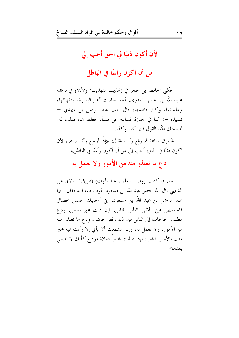#### لأن أكون ذنبًا في الحق أحب إلى

من أن أكون رأسًا في الباطل

حكي الحافظ ابن حجر في (تمذيب التهذيب) (٧/٧) في ترجمة عبيد الله بن الحسن العنبري، أحد سادات أهل البصرة، وفقهائها، وعلمائها، وكان قاضيها، قال: قال عبد الرحمن بن مهدى — تلميذه –: كنا في جنازة فسألته عن مسألة فغلط بما، فقلت له: أصلحك الله، القول فيها كذا وكذا.

فأطرق ساعة ثم رفع رأسه فقال: «إذًا أرجع وأنا صاغر، لأن أكون ذنبًا في الحق، أحب إلى من أن أكون رأسًا في الباطل».

#### دع ما تعتذر منه من الأمور ولا تعمل به

جاء في كتاب (وصايا العلماء عند الموت) (ص٦٩-٧٠): عن الشعبي قال: لما حضر عبد الله بن مسعود الموت دعا ابنه فقال: «يا عبد الرحمن بن عبد الله بن مسعود، إين أوصيك بخمس خصال فاحفظهن عني: أظهر اليأس للناس، فإن ذلك غني فاضل، ودع مطلب الحاجات إلى الناس فإن ذلك فقر حاضر، ودع ما تعتذر منه من الأمور، ولا تعمل به، وإن استطعت ألا يأتي إلا وأنت فيه خير منك بالأمس فافعل، فإذا صليت فصلَ صلاة مودع كأنك لا تصلى بعدها».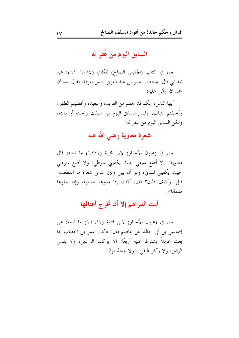السابق اليوم من غُفر له

حاء في كتاب (الجليس الصالح) للكافي (٢٠/٤-٦١): عن المدائين قال: «خطب عمر بن عبد العزيز الناس بعرفة، فقال بعد أن حمد الله وأثنى عليه:

أيها الناس، إنكم قد حتتم من القريب والبعيد، وأنضيتم الظهر، وأخلقتم الثياب، وليس السابق اليوم من سبقت راحلته أو دابته، ولكن السابق اليوم من غفر له».

#### شعرة معاوية رضى الله عنه

جاء في (عيون الأحبار) لابن قتيبة (٦٢/١) ما نصه: قال معاوية: «لا أضع سيفي حيث يكفيني سوطي، ولا أضع سوطي حيث يكفيني لساني، ولو أن بيني وبين الناس شعرة ما انقطعت. قيل: وكيف ذلك؟ قال: كنت إذا مدوها حليتها، وإذا حلوها مددها»

أبت الدراهم إلا أن تخرج أعناقها

جاء في (عيون الأخبار) لابن قتيبة (١/٦/١) ما نصه: عن إسماعيل بن أبي خالد عن عاصم قال: «كان عمر بن الخطاب إذا بعث عاملاً يشترط عليه أربعًا: ألا يركب البراذين، ولا يلبس الرقيق، ولا يأكل النقيء، ولا يتخذ بوابًا.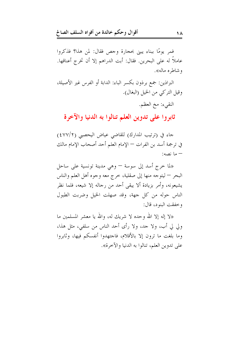فمر يومًا ببناء يبني بحجارة وجص فقال: لمن هذا؟ فذكروا عاملاً له على البحرين. فقال: أبت الدراهم إلا أن تخرج أعناقها. و شاطره ماله».

البراذين: جمع برذون بكسر الباء: الدابة أو الفرس غير الأصيلة، وقيل التركي من الخيل (البغال).

النقيء: مخ العظم.

ثابروا على تدوين العلم تنالوا به الدنيا والآخرة

جاء في (ترتيب المدارك) للقاضي عياض اليحصبي (٤٧٧/٢) في ترجمة أسد بن الفرات — الإمام العلم أحد أصحاب الإمام مالك – ما نصه:

«لما خرج أسد إلى سوسة — وهي مدينة تونسية على ساحل البحر — ليتوحه منها إلى صقلية، خرج معه وجوه أهل العلم والناس يشيعونه، وأمر بزيادة ألا يبقى أحد من رجاله إلا شيعه، فلما نظر الناس حوله من كل جهة، وقد صهلت الخيل وضربت الطبول و خفقت البنود، قال:

«لا إله إلا الله وحده لا شريك له، والله يا معشر المسلمين ما ولي لي أب، ولا حد، ولا رأى أحد الناس من سلفي، مثل هذا، وما بلغت ما ترون إلا بالأقلام، فاحتهدوا أنفسكم فيها، وثابروا على تدوين العلم، تنالوا به الدنيا والآخرة».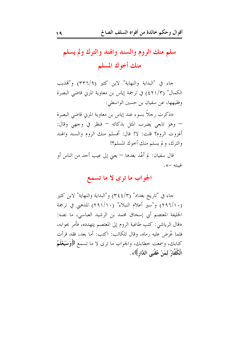## سلم منك الروم والسند والهند والترك ولم يسلم منك أخوك المسلم

حاء في "البداية والنهاية" لابن كثير (٣٣٦/٩) و"تمذيب الكمال" (٤٢١/٣) في ترجمة إياس بن معاوية المزني قاضي البصرة وفقيهها، عن سفيان بن حسين الواسطى:

«ذكرت , حلاً بسوءِ عند إياس بن معاوية المزبي قاضي البصرة — وهو تابعي يَضرب المثل بذكائه — فنظر في وجهي وقال: أغزوت الروم؟ قلت: لا! قال: أفسلم منك الروم والسند والهند والترك، ولم يسلم منك أحوك المسلم؟!

قال سفيان: لم أعُد بعدها — يعني إلى عيب أحد من الناس أو غسته –».

#### الجواب ما ترى لا ما تسمع

جاء في "تاريخ بغداد" (٣٤٤/٣) و"البداية والنهاية" لابن كثير (١٠/٢٩٦) و"سير أعلام النبلاء" (١٠/٢٩١) للذهبي في ترجمة الخليفة المعتصم أبي إسحاق محمد بن الرشيد العباسي، ما نصه: «قال الرياشي: كتب طاغية الروم إلى المعتصم يتهدده، فأمر بجوابه، فلما عُرِض عليه رماه، وقال للكاتب: اكتب: أما بعد، فقد قرأت كتابك، وسمعت خطابك، والجواب ما ترى لا ما تسمع ﴿وَسَيَعْلَمُ الْكُفَّارُ لِمَنْ عُقْبَى الدَّارِ﴾».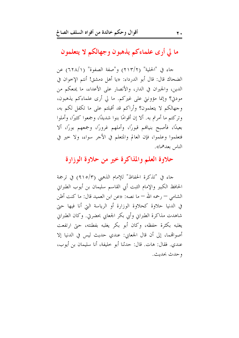ما لي أرى علماءكم يذهبون وجهالكم لا يتعلمون

جاء في "الحلية" (٢١٣/٢) و"صفة الصفوة" (٦٢٨/١) عن الضحاك قال: قال أبو الدرداء: «يا أهل دمشق! أنتم الإخوان في الدين، والجيران في الدار، والأنصار على الأعداء، ما يمنعكم من مودي؟ وإنما مؤونتي على غيركم. ما لي أرى علماءكم يذهبون، وجهالكم لا يتعلمون؟ وأراكم قد أقبلتم على ما تكفل لكم به، وتركتم ما أمرتم به. ألا إن أقوامًا بنوا شديدًا، وجمعوا كثيرًا، وأملوا بعيدًا، فأصبح بنيالهم قبورًا، وأملهم غرورًا، وجمعهم بورًا، ألا فتعلموا وعلموا، فإن العالم والمتعلم في الأجر سواء، ولا حير في الناس بعدهما».

#### حلاوة العلم والمذاكرة خير من حلاوة الوزارة

جاء في "تذكرة الحفاظ" للإمام الذهبي (٩١٥/٣) في ترجمة الحافظ الكبير والإمام الثبت أبي القاسم سليمان بن أيوب الطبرايي الشامي — رحمه الله — ما نصه: «عن ابن العميد قال: ما كنت أظن في الدنيا حلاوة كحلاوة الوزارة أو الرياسة التي أنا فيها حتى شاهدت مذاكرة الطبراني وأبي بكر الجعابي بحضرتي. وكان الطبراني يغلبه بكثرة حفظه، وكان أبو بكر يغلبه بفطنته، حتى ارتفعت أصواهَّما، إلى أن قال الجعابي: عندي حديث ليس في الدنيا إلا عندي. فقال: هات. قال: حدثنا أبو خليفة، أنا سليمان بن أيوب، و حدث بحديث.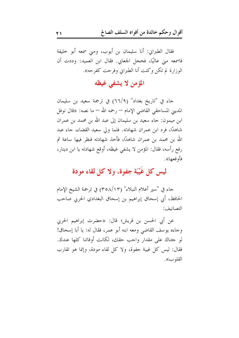فقال الطبراين: أنا سليمان بن أيوب، ومنى سمعه أبو حليفة فاسمعه مني عاليًا، فخجل الجعابي. فقال ابن العميد: وددت أن الوزارة لم تكن وكنت أنا الطبراني وفرحت كفرحه».

#### المؤمن لا يشفى غيظه

حاء في "تاريخ بغداد" (٦٦/٩) في ترجمة سعيد بن سليمان المديني المساحقي القاضي الإمام — رحمه الله — ما نصه: «قال نوفل ابن ميمون: جاءِ سعيد بن سليمان إلى عبد الله بن محمد بن عمران شاهدًا، فرد ابن عمران شهادته. فلما ولي سعيد القضاء، جاء عبد الله بن محمد بن عمران شاهدًا، فأحذ شهادته فنظر فيها ساعة ثم رفع رأسه، فقال: المؤمن لا يشفى غيظه، أوقع شهادته يا ابن دينار، فأو قعها».

#### ليس كل غَيْبَة جفوة، ولا كل لقاء مودة

حاء في "سير أعلام النبلاء" (٣٥٨/١٣) في ترجمة الشيخ الإمام الحافظ، أبي إسحاق إبراهيم بن إسحاق البغدادي الحربي صاحب التصانيف:

عن أبي الحسن بن قريش؛ قال: «حضرت إبراهيم الحربي وجاءه يوسف القاضي ومعه ابنه أبو عمر، فقال له: يا أبا إسحاق! لو جئناك على مقدار واحب حقك، لكانت أوقاتنا كلها عندك. فقال: ليس كل غيبة جفوة، ولا كل لقاء مودة، وإنما هو تقارب القلو ب».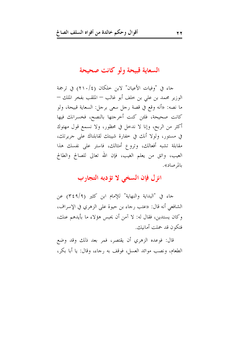السعاية قبيحة ولو كانت صحيحة

جاء في "وفيات الأعيان" لابن حلكان (٢١٠/٤) في ترجمة الوزير محمد بن على بن حلف أبو غالب — الملقب بفخر الملك — ما نصه: «أنه وقع في قصة رجل سعى برجل: السعاية قبيحة، ولو كانت صحيحة، فلئن كنت أحرجتها بالنصح، فخسرانك فيها أكثر من الربح، وإنا لا ندخل في محظور، ولا نسمع قول مهتوك في مستور، ولولا أنك في حفارة شيبتك لقابلناك على جريرتك، مقابلة تشبه أفعالك، وتروع أمثالك، فاستر على نفسك هذا العيب، واتق من يعلم الغيب، فإن الله تعالى للصالح والطالح بالم صاد».

#### انزل فإن السخى لا تؤدبه التجارب

جاء في "البداية والنهاية" للإمام ابن كثير (٣٤٩/٩) عن الشافعي أنه قال: «عتب رجاء بن حيوة على الزهري في الإسراف، وكان يستدين، فقال له: لا آمن أن يحبس هؤلاء ما بأيدهم عنك، فتكون قد حملت أمانيك.

قال: فوعده الزهري أن يقتصر، فمر بعد ذلك وقد وضع الطعام، ونصب موائد العسل، فوقف به رجاء، وقال: يا أبا بكر،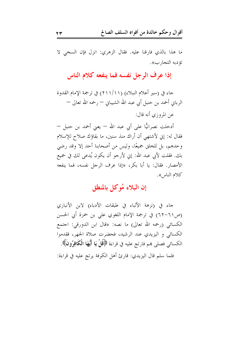ما هذا بالذي فارقنا عليه. فقال الزهري: انزل فإن السخى لا تؤ دبه التجار ب».

إذا عرف الرجل نفسه فما ينفعه كلام الناس

حاء في (سير أعلام النبلاء) (١١/١١١) في ترجمة الإمام القدوة الرباني أحمد بن حنبل أبي عبد الله الشيباني — رحمه الله تعالى — عن المروزي أنه قال:

أدخلت نصرانيًّا على أبي عبد الله – يعني أحمد بن حنبل – فقال له: إني لأشتهي أن أراك منذ سنين، ما بقاؤك صلاح للإسلام وحدهم، بل للخلق جميعًا، وليس من أصحابنا أحد إلا وقد رضي بك. فقلت لأبي عبد الله: إين لأرجو أن يكون يُدعى لك في جميع الأمصار. فقال: يا أبا بكر، «إذا عرف الرجل نفسه، فما ينفعه كلام الناس».

#### إن البلاء مُوكل بالمنطق

جاء في (نزهة الألباء في طبقات الأدباء) لابن الأنباري (ص٦١-٦٢) في ترجمة الإمام اللغوي على بن حمزة أبي الحسن الكسائي (رحمه الله تعالى) ما نصه: «قال ابن الدورقي: احتمع الكسائي و اليزيدي عند الرشيد، فحضرت صلاة الجهر، فقدموا الكسائي فصلى هم فارتج عليه في قراءة ﴿قُلْ يَا أَيُّهَا الْكَافِرُونَ﴾. فلما سلم قال اليزيدي: قارئ أهل الكوفة يرتج عليه في قراءة: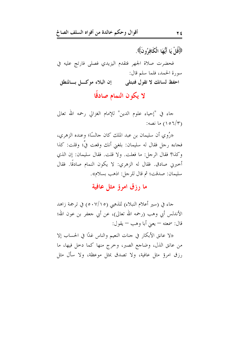﴿فَاْلَ يَا أَيُّهَا الْكَافِرُونَ﴾.

فحضرت صلاة الجهر فتقدم اليزيدي فصلى فارتج عليه في سورة الحمد، فلما سلم قال: إن البلاء موكسل بسالمنطق احفظ لسانك لا تقول فتبتلي

لا يكون النمام صادقًا

جاء في "إحياء علوم الدين" للإمام الغزالي رحمه الله تعالى (١٥٦/٣) ما نصه:

«رُوِي أن سليمان بن عبد الملك كان جالسًا؛ وعنده الزهري، فجاءه رحل فقال له سليمان: بلغني أنك وقعت فيَّ؛ وقلت: كذا وكذا؟ فقال الرجل: ما فعلت. ولا قلت. فقال سليمان: إن الذي أخبرين صادق. فقال له الزهري: لا يكون النمام صادقًا. فقال سليمان: صدقت؛ ثم قال للرجل: اذهب بسلام».

#### ما رزق امرؤ مثل عافية

جاء في (سير أعلام النبلاء) للذهبي (٥٠٧/١٥) في ترجمة زاهد الأندلس أبي وهب (رحمه الله تعالى)، عن أبي جعفر بن عون الله؛ قال: سمعته – يعني أبا وهب – يقول:

«لا عانق الأبكار في جنات النعيم والناس غدًا في الحساب إلا من عانق الذل، وضاحع الصبر، وخرج منها كما دخل فيها، ما رزق امرؤ مثل عافية، ولا تصدق بمثل موعظة، ولا سأل مثل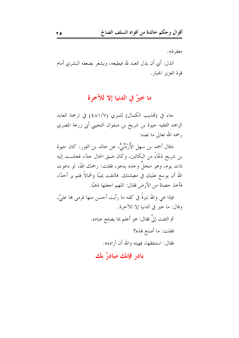مغفرة».

الذل: أي أن يذل العبد لله فيطيعه، ويشعر بضعفه البشري أمام قوة العزيز الجبار .

#### ما خيرٌ في الدنيا إلا للآخرة

جاء في (تمذيب الكمال) للمزي (٤٨١/٧) في ترجمة العابد الزاهد الفقيه حيوة بن شريح بن صفوان التجيبي أبي زرعة المصري , حمه الله تعالى ما نصه:

«قال أحمد بن سهل الأُرْدُنِّيُّ، عن حالد بن الفِزر: كان حيوة بن شريح دَعَّاءً من البكائين، وكان ضيق الحال جدًا، فجلست إليه ذات يوم، وهو متخلٌّ وحده يدعو، فقلت: رحمك الله، لو دعوت الله أن يوسع عليك في معيشتك. فالتفت يمينًا وشمالاً فلم ير أحدًا، فأخذ حصاة من الأرض فقال: اللهم اجعلها ذهبًا.

فإذا هي والله تِبرةً في كفه ما رأيت أحسن منها فرمي بما عليَّ، وقال: ما خير في الدنيا إلا للآخرة. ثم التفت إليَّ فقال: هو أعلم بما يصلح عباده.

فقلت: ما أصنع هِذه؟ فقال: استنفقها، فهبته والله أن أراده». بادر فإنك مبادرٌ بك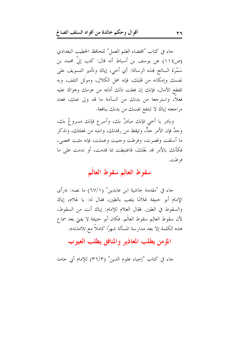جاء في كتاب "اقتضاء العلم العمل" للحافظ الخطيب البغدادي (ص١١٤) عن يوسف بن أسباط أنه قال: كتب إلىَّ محمد بن سَمْرَة السائح هذه الرسالة: أي أخي، إياك وتأمير التسويف على نفسك وإمكانه من قلبك، فإنه محل الكلال، وموتَل التلف، وبه تقطع الآمال، فإنك إن فعلت ذلك أدلته من عزمك وهواك عليه فعلاً، واسترجعاً من بدنك من السآمة ما قد ولي عنك، فعند مراجعته إياك لا تنتفع نفسك من بدنك بنافعة.

وبادر يا أخي فإنك مبادرٌ بك، وأسرع فإنك مسروعٌ بك، وجدَّ فإن الأمر جلٌّ، وتيقظ من رقدتك، وانتبه من غفلتك، وتذكر ما أسلفت وقصرت، وفرطت وحنيت وعملت، فإنه مثبت محصى، فكأنك بالأمر قد بَغَتَكَ، فاغتبطت بما قدمت، أو ندمت على ما فرطت.

#### سقوط العالِم سقوط العالَم

جاء في "مقدمة حاشية ابن عابدين" (٦٧/١) ما نصه: «رأى الإمام أبو حنيفة غلامًا يلعب بالطين، فقال له: يا غلام، إياك والسقوط في الطين. فقال الغلام للإمام: إياك أنت من السقوط، لأن سقوط العالِم سقوط العالَم. فكان أبو حنيفة لا يفتي بعد سماع هذه الكلمة إلا بعد مدارسة المسألة شهرًا كاملاً مع تلامذته».

#### المؤمن يطلب المعاذير والمنافق يطلب العيوب

جاء في كتاب "إحياء علوم الدين" (٣٦/٣) للإمام أبي حامد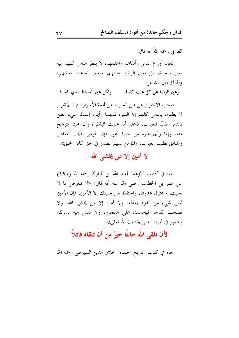الغزالي , حمه الله أنه قال:

«فإن أورع الناس وأتقاهم وأعلمهم، لا ينظر الناس كلهم إليه بعين واحدة، بل بعين الرضا بعضهم، وبعين السخط بعضهم، ولذلك قال الشاعر :

ولكن عين السخط تبدي المسايا وعين الرضا عن كل عيب كليلة

فيجب الاحتراز عن ظن السوء، عن تممة الأشرار، فإن الأشرار لا يظنون بالناس كلهم إلا الشر، فمهما رأيت إنسانًا سيء الظن بالناس طالبًا للعيوب، فاعلم أنه حبيث الباطن، وأن حبثه يترشح منه، وإنما رأى غيره من حيث هو، فإن المؤمن يطلب المعاذير والمنافق يطلب العيوب، والمؤمن سليم الصدر في حق كافة الخلق».

لا أمين إلا من يخشى الله

جاء في كتاب "الزهد" لعبد الله بن المبارك رحمه الله (٤٩١) عن عمر بن الخطاب رضي الله عنه أنه قال: «لا تتعرض لما لا يعنيك، واعتزل عدوك، واحتفظ من حليلك إلا الأمين، فإن الأمين ليس شيء من القوم يعدله، ولا أمين إلا من يخشى الله، ولا تصحب الفاجر فيحملك على الفجور، ولا تفش إليه بسرك، وشاور في أمرك الذين يخشون الله تعالى».

#### لأن تلقى الله حانثًا خيرٌ من أن تلقاه قاتلاً

حاء في كتاب "تاريخ الحلفاء" لجلال الدين السيوطى رحمه الله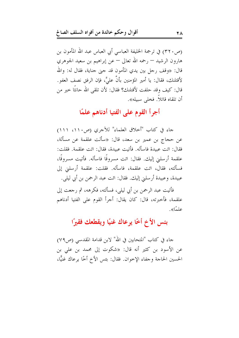(ص٢٢٠) في ترجمة الحليفة العباسي أبي العباس عبد الله المأمون بن هارون الرشيد — رحمه الله تعالى — عن إبراهيم بن سعيد الجوهري قال: «وقف رجل بين يدي المأمون قد حين جناية، فقال له: والله لأقتلنك، فقال: يا أمير المؤمنين بأنَّ عليَّ، فإن الرفق نصف العفو. قال: كيف وقد حلفت لأقتلنك؟ فقال: لأن تلقى الله حانثًا حير من أن تلقاه قاتلاً. فخل<sub>ى</sub> سبيله».

#### أجرأ القوم على الفتيا أدناهم علمًا

جاء في كتاب "أخلاق العلماء" للآجري (ص١١٠، ١١١) عن حجاج بن عمير بن سعد، قال: «سألت علقمة عن مسألة، فقال: ائت عبيدة فاسأله. فأتيت عبيدة، فقال: ائت علقمة. فقلت: علقمة أرسلني إليك. فقال: ائت مسروقًا فاسأله. فأتيت مسروقًا، فسألته، فقال، ائت علقمة، فاسأله. فقلت: علقمة أرسلين إلى عبيدة، وعبيدة أرسلني إليك. فقال: ائت عبد الرحمن بن أبي ليلي.

فأتيت عبد الرحمن بن أبي ليلي، فسألته، فكرهه، ثم رجعت إلى علقمة، فأخبرته، قال: كان يقال: أجرأ القوم على الفتيا أدناهم علمًا».

#### بئس الأخ أخًا يرعاك غنيًا ويقطعك فقيرًا

جاء في كتاب "المتحابين في الله" لابن قدامة المقدسي (ص٧٩) عن الأسود بن كثير أنه قال: «شكوت إلى محمد بن علي بن الحسين الحاجة وحفاء الإخوان. فقال: بئس الأخ أخًا يرعاك غنيًّا،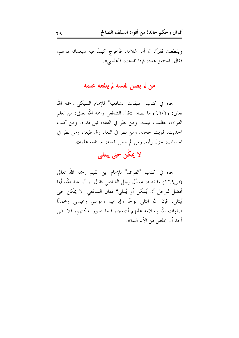ويقطعك فقيرًا، ثم أمر غلامه، فأخرج كيسًا فيه سبعمائة درهم، فقال: استنفق هذه، فإذا نفدت، فأعلمني».

#### من لم يصن نفسه لم ينفعه علمه

جاء في كتاب "طبقات الشافعية" للإمام السبكي رحمه الله تعالى: (٩٩/٢) ما نصه: «قال الشافعي رحمه الله تعالى: من تعلم القرآن، عظمت قيمته. ومن نظر في الفقه، نبل قدره. ومن كتب الحديث، قويت حجته. ومن نظر في اللغة، رق طبعه، ومن نظر في الحساب، جزل رأيه. ومن لم يصن نفسه، لم ينفعه علمه».

لا يمكَّن حتى يبتلي

حاء في كتاب "الفوائد" للإمام ابن القيم رحمه الله تعالى (ص٢٦٩) ما نصه: «سأل رجل الشافعي فقال: يا أبا عبد الله، أيما أفضل للرحل أن يُمكن أو يُبتلى؟ فقال الشافعي: لا يمكن حتى يُبتلي، فإن الله ابتلي نوحًا وإبراهيم وموسى وعيسى ومحمدًا صلوات الله وسلامه عليهم أجمعين، فلما صبروا مكنهم، فلا يظن أحد أن يخلص من الألم البتة».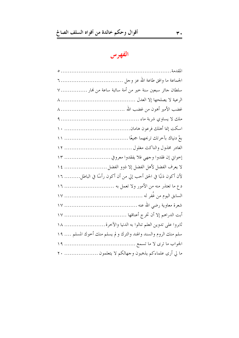### الفهرس

| سلطان جائر سبعين سنة خير من أمة سائبة ساعة من نمار  ٧              |
|--------------------------------------------------------------------|
|                                                                    |
|                                                                    |
|                                                                    |
|                                                                    |
| بعْ دنياك بآخرتك تربحهما جميعًا ……………………………………………………               |
|                                                                    |
| إخواني إن فقدوا وجهي فلا يفقدوا معروفي  ١٣                         |
| لا يعرف الفضل لأهل الفضل إلا ذوو الفضل  ١٤                         |
| لأن أكون ذنبًا في الحق أحب إلي من أن أكون رأسًا في الباطل ١٦       |
| دع ما تعتذر منه من الأمور ولا تعمل به  ١٦                          |
|                                                                    |
|                                                                    |
|                                                                    |
| ثابروا على تدوين العلم تنالوا به الدنيا والآخرة ١٨                 |
| سلم منك الروم والسند والهند والترك و لم يسلم منك أخوك المسلم …. ١٩ |
|                                                                    |
| ما لي أرى علماءكم يذهبون وحهالكم لا يتعلمون  ٢٠                    |